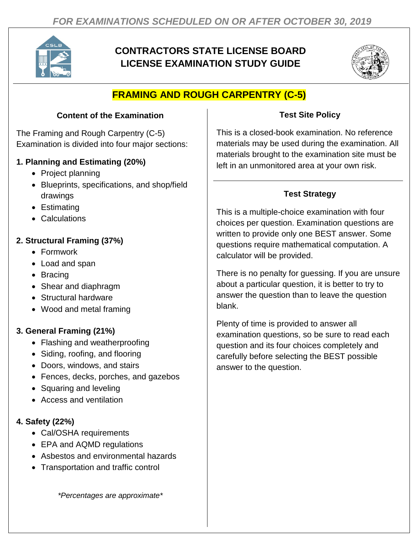

# **CONTRACTORS STATE LICENSE BOARD LICENSE EXAMINATION STUDY GUIDE**



# **FRAMING AND ROUGH CARPENTRY (C-5)**

# **Content of the Examination**

The Framing and Rough Carpentry (C-5) Examination is divided into four major sections:

# **1. Planning and Estimating (20%)**

- Project planning
- Blueprints, specifications, and shop/field drawings
- Estimating
- Calculations

# **2. Structural Framing (37%)**

- Formwork
- Load and span
- Bracing
- Shear and diaphragm
- Structural hardware
- Wood and metal framing

#### **3. General Framing (21%)**

- Flashing and weatherproofing
- Siding, roofing, and flooring
- Doors, windows, and stairs
- Fences, decks, porches, and gazebos
- Squaring and leveling
- Access and ventilation

#### **4. Safety (22%)**

- Cal/OSHA requirements
- EPA and AQMD regulations
- Asbestos and environmental hazards
- Transportation and traffic control

*\*Percentages are approximate\**

# **Test Site Policy**

This is a closed-book examination. No reference materials may be used during the examination. All materials brought to the examination site must be left in an unmonitored area at your own risk.

# **Test Strategy**

This is a multiple-choice examination with four choices per question. Examination questions are written to provide only one BEST answer. Some questions require mathematical computation. A calculator will be provided.

There is no penalty for guessing. If you are unsure about a particular question, it is better to try to answer the question than to leave the question blank.

Plenty of time is provided to answer all examination questions, so be sure to read each question and its four choices completely and carefully before selecting the BEST possible answer to the question.